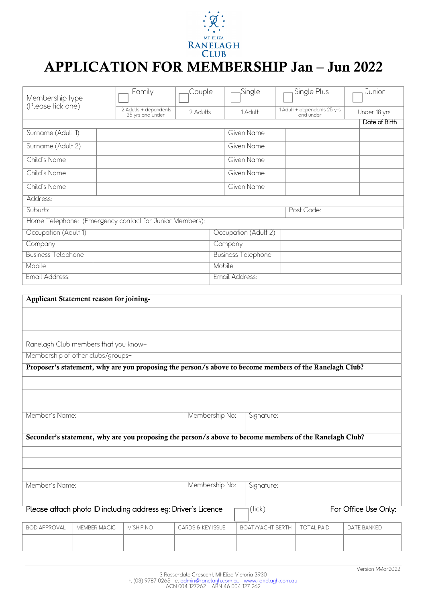

## APPLICATION FOR MEMBERSHIP Jan – Jun 2022

| Membership type<br>(Please tick one)                    | Family                                    | Couple   | Single     | Single Plus                              | Junior        |  |
|---------------------------------------------------------|-------------------------------------------|----------|------------|------------------------------------------|---------------|--|
|                                                         | 2 Adults + dependents<br>25 yrs and under | 2 Adults | 1 Adult    | 1 Adult + dependents 25 yrs<br>and under | Under 18 yrs  |  |
|                                                         |                                           |          |            |                                          | Date of Birth |  |
| Surname (Adult 1)                                       |                                           |          | Given Name |                                          |               |  |
| Surname (Adult 2)                                       |                                           |          | Given Name |                                          |               |  |
| Child's Name                                            |                                           |          | Given Name |                                          |               |  |
| Child's Name                                            |                                           |          | Given Name |                                          |               |  |
| Child's Name                                            |                                           |          | Given Name |                                          |               |  |
| Address:                                                |                                           |          |            |                                          |               |  |
| Suburb:<br>Post Code:                                   |                                           |          |            |                                          |               |  |
| Home Telephone: (Emergency contact for Junior Members): |                                           |          |            |                                          |               |  |
| Occupation (Adult 1)<br>Occupation (Adult 2)            |                                           |          |            |                                          |               |  |
| Company                                                 | Company                                   |          |            |                                          |               |  |
| <b>Business Telephone</b>                               | <b>Business Telephone</b>                 |          |            |                                          |               |  |
| Mobile                                                  | Mobile                                    |          |            |                                          |               |  |
| Email Address:<br>Email Address:                        |                                           |          |            |                                          |               |  |
|                                                         |                                           |          |            |                                          |               |  |
| Applicant Statement reason for joining-                 |                                           |          |            |                                          |               |  |
|                                                         |                                           |          |            |                                          |               |  |

Ranelagh Club members that you know-

Membership of other clubs/groups-

| Proposer's statement, why are you proposing the person/s above to become members of the Ranelagh Club? |                                                                                                        |           |                   |                         |                   |             |  |  |
|--------------------------------------------------------------------------------------------------------|--------------------------------------------------------------------------------------------------------|-----------|-------------------|-------------------------|-------------------|-------------|--|--|
|                                                                                                        |                                                                                                        |           |                   |                         |                   |             |  |  |
|                                                                                                        |                                                                                                        |           |                   |                         |                   |             |  |  |
| Member's Name:                                                                                         |                                                                                                        |           | Membership No:    | Signature:              |                   |             |  |  |
|                                                                                                        |                                                                                                        |           |                   |                         |                   |             |  |  |
|                                                                                                        | Seconder's statement, why are you proposing the person/s above to become members of the Ranelagh Club? |           |                   |                         |                   |             |  |  |
|                                                                                                        |                                                                                                        |           |                   |                         |                   |             |  |  |
|                                                                                                        |                                                                                                        |           |                   |                         |                   |             |  |  |
| Member's Name:<br>Membership No:<br>Signature:                                                         |                                                                                                        |           |                   |                         |                   |             |  |  |
| Please attach photo ID including address eg: Driver's Licence<br>For Office Use Only:<br>(fick)        |                                                                                                        |           |                   |                         |                   |             |  |  |
| <b>BOD APPROVAL</b>                                                                                    | <b>MEMBER MAGIC</b>                                                                                    | M'SHIP NO | CARDS & KEY ISSUE | <b>BOAT/YACHT BERTH</b> | <b>TOTAL PAID</b> | DATE BANKED |  |  |
|                                                                                                        |                                                                                                        |           |                   |                         |                   |             |  |  |